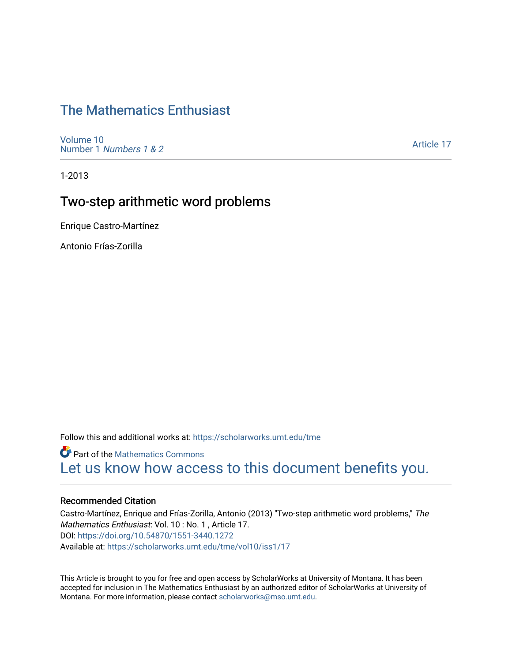# [The Mathematics Enthusiast](https://scholarworks.umt.edu/tme)

[Volume 10](https://scholarworks.umt.edu/tme/vol10) Number 1 [Numbers 1 & 2](https://scholarworks.umt.edu/tme/vol10/iss1)

[Article 17](https://scholarworks.umt.edu/tme/vol10/iss1/17) 

1-2013

# Two-step arithmetic word problems

Enrique Castro-Martínez

Antonio Frías-Zorilla

Follow this and additional works at: [https://scholarworks.umt.edu/tme](https://scholarworks.umt.edu/tme?utm_source=scholarworks.umt.edu%2Ftme%2Fvol10%2Fiss1%2F17&utm_medium=PDF&utm_campaign=PDFCoverPages) 

**Part of the [Mathematics Commons](http://network.bepress.com/hgg/discipline/174?utm_source=scholarworks.umt.edu%2Ftme%2Fvol10%2Fiss1%2F17&utm_medium=PDF&utm_campaign=PDFCoverPages)** [Let us know how access to this document benefits you.](https://goo.gl/forms/s2rGfXOLzz71qgsB2) 

#### Recommended Citation

Castro-Martínez, Enrique and Frías-Zorilla, Antonio (2013) "Two-step arithmetic word problems," The Mathematics Enthusiast: Vol. 10 : No. 1 , Article 17. DOI:<https://doi.org/10.54870/1551-3440.1272> Available at: [https://scholarworks.umt.edu/tme/vol10/iss1/17](https://scholarworks.umt.edu/tme/vol10/iss1/17?utm_source=scholarworks.umt.edu%2Ftme%2Fvol10%2Fiss1%2F17&utm_medium=PDF&utm_campaign=PDFCoverPages)

This Article is brought to you for free and open access by ScholarWorks at University of Montana. It has been accepted for inclusion in The Mathematics Enthusiast by an authorized editor of ScholarWorks at University of Montana. For more information, please contact [scholarworks@mso.umt.edu.](mailto:scholarworks@mso.umt.edu)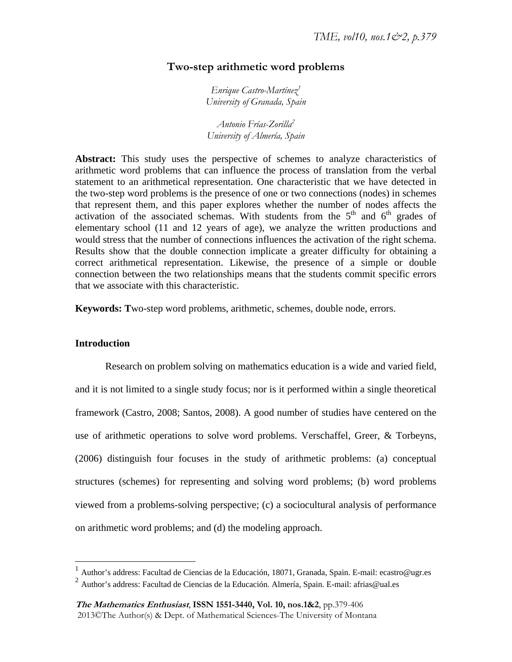# **Two-step arithmetic word problems**

*Enrique Castro-Martínez1 University of Granada, Spain* 

*Antonio Frías-Zorilla2 University of Almería, Spain* 

**Abstract:** This study uses the perspective of schemes to analyze characteristics of arithmetic word problems that can influence the process of translation from the verbal statement to an arithmetical representation. One characteristic that we have detected in the two-step word problems is the presence of one or two connections (nodes) in schemes that represent them, and this paper explores whether the number of nodes affects the activation of the associated schemas. With students from the  $5<sup>th</sup>$  and  $6<sup>th</sup>$  grades of elementary school (11 and 12 years of age), we analyze the written productions and would stress that the number of connections influences the activation of the right schema. Results show that the double connection implicate a greater difficulty for obtaining a correct arithmetical representation. Likewise, the presence of a simple or double connection between the two relationships means that the students commit specific errors that we associate with this characteristic.

**Keywords: T**wo-step word problems, arithmetic, schemes, double node, errors.

#### **Introduction**

1

Research on problem solving on mathematics education is a wide and varied field, and it is not limited to a single study focus; nor is it performed within a single theoretical framework (Castro, 2008; Santos, 2008). A good number of studies have centered on the use of arithmetic operations to solve word problems. Verschaffel, Greer, & Torbeyns, (2006) distinguish four focuses in the study of arithmetic problems: (a) conceptual structures (schemes) for representing and solving word problems; (b) word problems viewed from a problems-solving perspective; (c) a sociocultural analysis of performance on arithmetic word problems; and (d) the modeling approach.

<sup>&</sup>lt;sup>1</sup> Author's address: Facultad de Ciencias de la Educación, 18071, Granada, Spain. E-mail: ecastro@ugr.es

 $^2$  Author's address: Facultad de Ciencias de la Educación. Almería, Spain. E-mail: afrias@ual.es

**The Mathematics Enthusiast**, **ISSN 1551-3440, Vol. 10, nos.1&2**, pp.379-406 2013©The Author(s) & Dept. of Mathematical Sciences-The University of Montana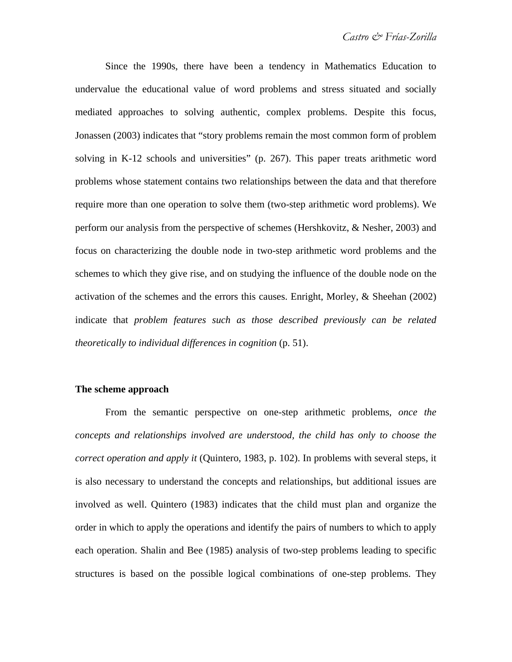Since the 1990s, there have been a tendency in Mathematics Education to undervalue the educational value of word problems and stress situated and socially mediated approaches to solving authentic, complex problems. Despite this focus, Jonassen (2003) indicates that "story problems remain the most common form of problem solving in K-12 schools and universities" (p. 267). This paper treats arithmetic word problems whose statement contains two relationships between the data and that therefore require more than one operation to solve them (two-step arithmetic word problems). We perform our analysis from the perspective of schemes (Hershkovitz, & Nesher, 2003) and focus on characterizing the double node in two-step arithmetic word problems and the schemes to which they give rise, and on studying the influence of the double node on the activation of the schemes and the errors this causes. Enright, Morley, & Sheehan (2002) indicate that *problem features such as those described previously can be related theoretically to individual differences in cognition* (p. 51).

## **The scheme approach**

From the semantic perspective on one-step arithmetic problems, *once the concepts and relationships involved are understood, the child has only to choose the correct operation and apply it* (Quintero, 1983, p. 102). In problems with several steps, it is also necessary to understand the concepts and relationships, but additional issues are involved as well. Quintero (1983) indicates that the child must plan and organize the order in which to apply the operations and identify the pairs of numbers to which to apply each operation. Shalin and Bee (1985) analysis of two-step problems leading to specific structures is based on the possible logical combinations of one-step problems. They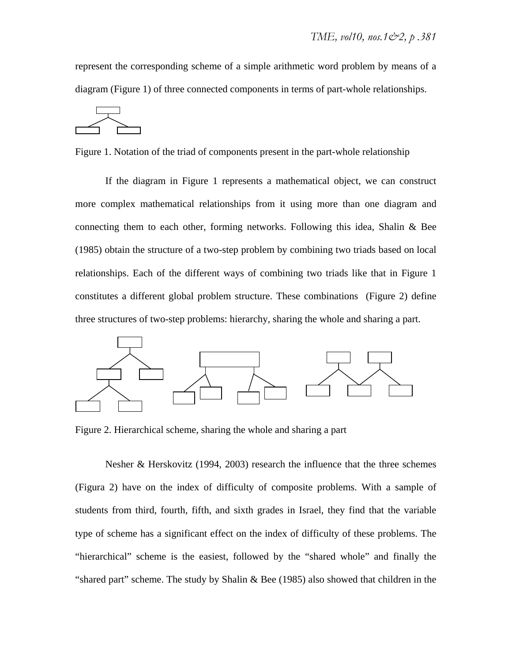represent the corresponding scheme of a simple arithmetic word problem by means of a diagram (Figure 1) of three connected components in terms of part-whole relationships.



Figure 1. Notation of the triad of components present in the part-whole relationship

If the diagram in Figure 1 represents a mathematical object, we can construct more complex mathematical relationships from it using more than one diagram and connecting them to each other, forming networks. Following this idea, Shalin & Bee (1985) obtain the structure of a two-step problem by combining two triads based on local relationships. Each of the different ways of combining two triads like that in Figure 1 constitutes a different global problem structure. These combinations (Figure 2) define three structures of two-step problems: hierarchy, sharing the whole and sharing a part.



Figure 2. Hierarchical scheme, sharing the whole and sharing a part

Nesher & Herskovitz (1994, 2003) research the influence that the three schemes (Figura 2) have on the index of difficulty of composite problems. With a sample of students from third, fourth, fifth, and sixth grades in Israel, they find that the variable type of scheme has a significant effect on the index of difficulty of these problems. The "hierarchical" scheme is the easiest, followed by the "shared whole" and finally the "shared part" scheme. The study by Shalin & Bee (1985) also showed that children in the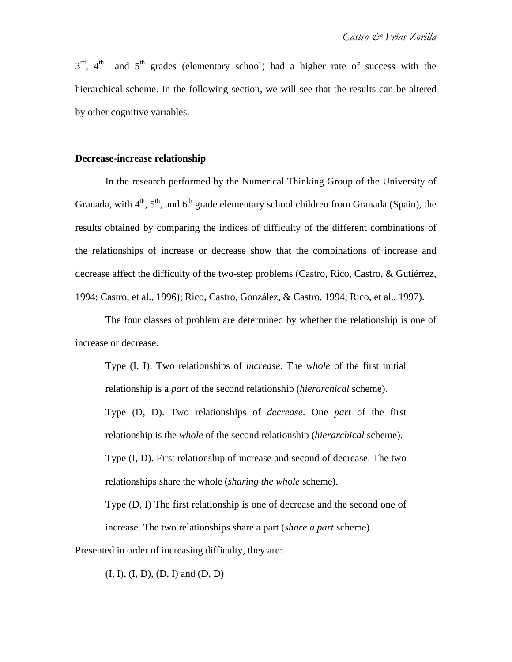$3<sup>rd</sup>$ ,  $4<sup>th</sup>$  and  $5<sup>th</sup>$  grades (elementary school) had a higher rate of success with the hierarchical scheme. In the following section, we will see that the results can be altered by other cognitive variables.

## **Decrease-increase relationship**

In the research performed by the Numerical Thinking Group of the University of Granada, with  $4<sup>th</sup>$ ,  $5<sup>th</sup>$ , and  $6<sup>th</sup>$  grade elementary school children from Granada (Spain), the results obtained by comparing the indices of difficulty of the different combinations of the relationships of increase or decrease show that the combinations of increase and decrease affect the difficulty of the two-step problems (Castro, Rico, Castro, & Gutiérrez, 1994; Castro, et al., 1996); Rico, Castro, González, & Castro, 1994; Rico, et al., 1997).

The four classes of problem are determined by whether the relationship is one of increase or decrease.

Type (I, I). Two relationships of *increase*. The *whole* of the first initial relationship is a *part* of the second relationship (*hierarchical* scheme). Type (D, D). Two relationships of *decrease*. One *part* of the first relationship is the *whole* of the second relationship (*hierarchical* scheme). Type (I, D). First relationship of increase and second of decrease. The two relationships share the whole (*sharing the whole* scheme).

Type (D, I) The first relationship is one of decrease and the second one of increase. The two relationships share a part (*share a part* scheme).

Presented in order of increasing difficulty, they are:

 $(I, I), (I, D), (D, I)$  and  $(D, D)$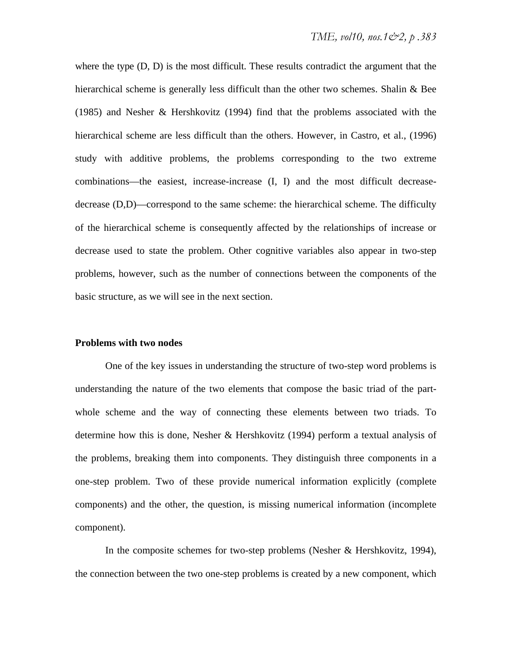where the type (D, D) is the most difficult. These results contradict the argument that the hierarchical scheme is generally less difficult than the other two schemes. Shalin & Bee (1985) and Nesher & Hershkovitz (1994) find that the problems associated with the hierarchical scheme are less difficult than the others. However, in Castro, et al., (1996) study with additive problems, the problems corresponding to the two extreme combinations—the easiest, increase-increase (I, I) and the most difficult decreasedecrease (D,D)—correspond to the same scheme: the hierarchical scheme. The difficulty of the hierarchical scheme is consequently affected by the relationships of increase or decrease used to state the problem. Other cognitive variables also appear in two-step problems, however, such as the number of connections between the components of the basic structure, as we will see in the next section.

#### **Problems with two nodes**

One of the key issues in understanding the structure of two-step word problems is understanding the nature of the two elements that compose the basic triad of the partwhole scheme and the way of connecting these elements between two triads. To determine how this is done, Nesher & Hershkovitz (1994) perform a textual analysis of the problems, breaking them into components. They distinguish three components in a one-step problem. Two of these provide numerical information explicitly (complete components) and the other, the question, is missing numerical information (incomplete component).

In the composite schemes for two-step problems (Nesher & Hershkovitz, 1994), the connection between the two one-step problems is created by a new component, which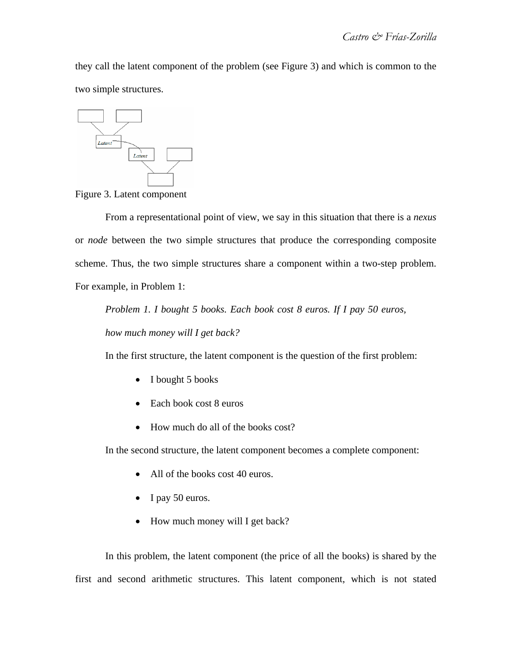they call the latent component of the problem (see Figure 3) and which is common to the two simple structures.



Figure 3. Latent component

From a representational point of view, we say in this situation that there is a *nexus* or *node* between the two simple structures that produce the corresponding composite scheme. Thus, the two simple structures share a component within a two-step problem. For example, in Problem 1:

*Problem 1. I bought 5 books. Each book cost 8 euros. If I pay 50 euros,* 

*how much money will I get back?* 

In the first structure, the latent component is the question of the first problem:

- I bought 5 books
- Each book cost 8 euros
- How much do all of the books cost?

In the second structure, the latent component becomes a complete component:

- All of the books cost 40 euros.
- $\bullet$  I pay 50 euros.
- How much money will I get back?

In this problem, the latent component (the price of all the books) is shared by the first and second arithmetic structures. This latent component, which is not stated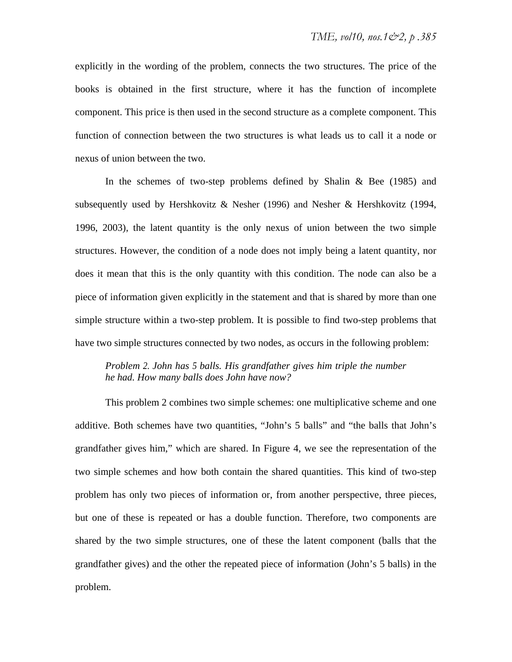explicitly in the wording of the problem, connects the two structures. The price of the books is obtained in the first structure, where it has the function of incomplete component. This price is then used in the second structure as a complete component. This function of connection between the two structures is what leads us to call it a node or nexus of union between the two.

In the schemes of two-step problems defined by Shalin & Bee (1985) and subsequently used by Hershkovitz & Nesher (1996) and Nesher & Hershkovitz (1994, 1996, 2003), the latent quantity is the only nexus of union between the two simple structures. However, the condition of a node does not imply being a latent quantity, nor does it mean that this is the only quantity with this condition. The node can also be a piece of information given explicitly in the statement and that is shared by more than one simple structure within a two-step problem. It is possible to find two-step problems that have two simple structures connected by two nodes, as occurs in the following problem:

# *Problem 2. John has 5 balls. His grandfather gives him triple the number he had. How many balls does John have now?*

This problem 2 combines two simple schemes: one multiplicative scheme and one additive. Both schemes have two quantities, "John's 5 balls" and "the balls that John's grandfather gives him," which are shared. In Figure 4, we see the representation of the two simple schemes and how both contain the shared quantities. This kind of two-step problem has only two pieces of information or, from another perspective, three pieces, but one of these is repeated or has a double function. Therefore, two components are shared by the two simple structures, one of these the latent component (balls that the grandfather gives) and the other the repeated piece of information (John's 5 balls) in the problem.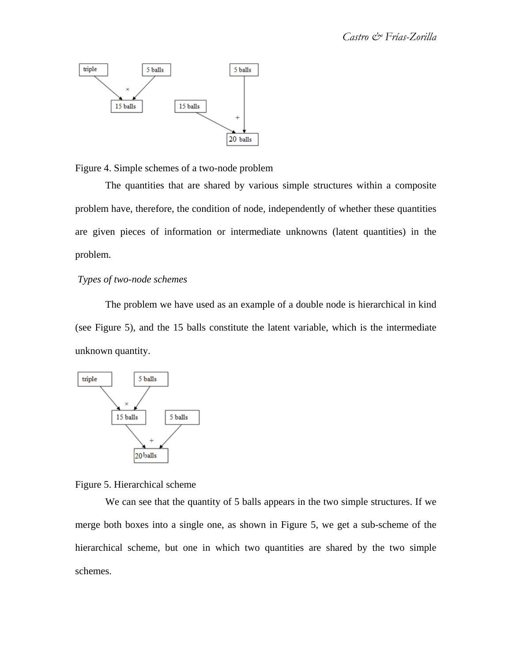

Figure 4. Simple schemes of a two-node problem

The quantities that are shared by various simple structures within a composite problem have, therefore, the condition of node, independently of whether these quantities are given pieces of information or intermediate unknowns (latent quantities) in the problem.

# *Types of two-node schemes*

The problem we have used as an example of a double node is hierarchical in kind (see Figure 5), and the 15 balls constitute the latent variable, which is the intermediate unknown quantity.



Figure 5. Hierarchical scheme

We can see that the quantity of 5 balls appears in the two simple structures. If we merge both boxes into a single one, as shown in Figure 5, we get a sub-scheme of the hierarchical scheme, but one in which two quantities are shared by the two simple schemes.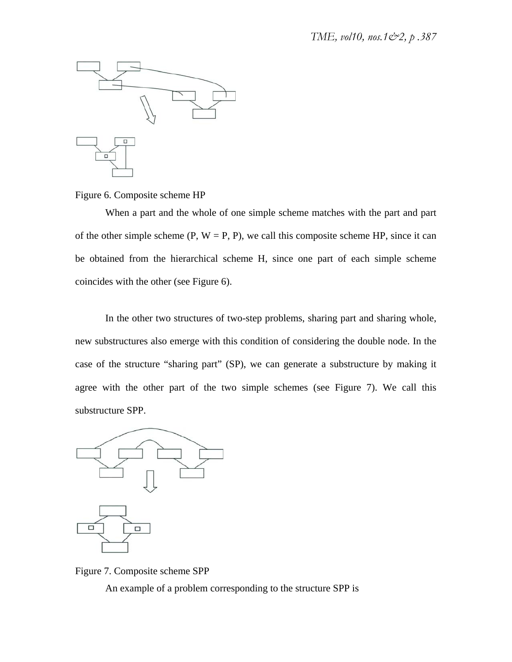

## Figure 6. Composite scheme HP

When a part and the whole of one simple scheme matches with the part and part of the other simple scheme  $(P, W = P, P)$ , we call this composite scheme HP, since it can be obtained from the hierarchical scheme H, since one part of each simple scheme coincides with the other (see Figure 6).

In the other two structures of two-step problems, sharing part and sharing whole, new substructures also emerge with this condition of considering the double node. In the case of the structure "sharing part" (SP), we can generate a substructure by making it agree with the other part of the two simple schemes (see Figure 7). We call this substructure SPP.





An example of a problem corresponding to the structure SPP is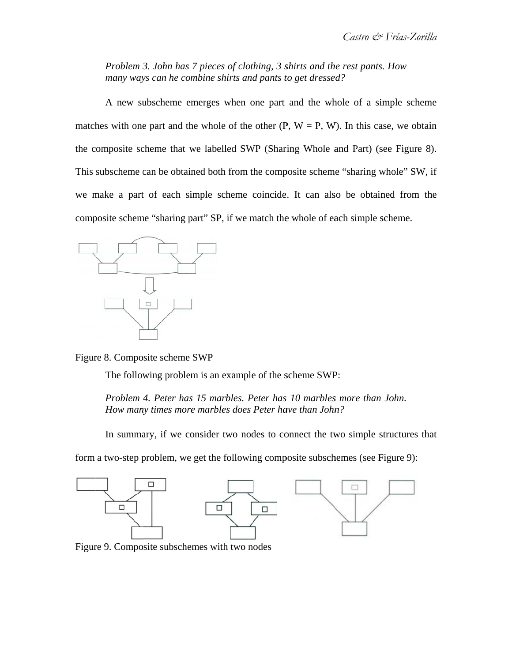*Problem 3 3. John has 7 pieces of c clothing, 3 s shirts and th he rest pants . How many ways can he combine shirts and pants to get dressed?* 

matches with one part and the whole of the other  $(P, W = P, W)$ . In this case, we obtain the composite scheme that we labelled SWP (Sharing Whole and Part) (see Figure 8). This subscheme can be obtained both from the composite scheme "sharing whole" SW, if we make a part of each simple scheme coincide. It can also be obtained from the composite scheme "sharing part" SP, if we match the whole of each simple scheme. A new subscheme emerges when one part and the whole of a simple scheme



Figure 8. Composite scheme SWP

The following problem is an example of the scheme SWP:

Problem 4. Peter has 15 marbles. Peter has 10 marbles more than John. *How many times more marbles does Peter have than John?* 

In summary, if we consider two nodes to connect the two simple structures that

form a two-step problem, we get the following composite subschemes (see Figure 9):

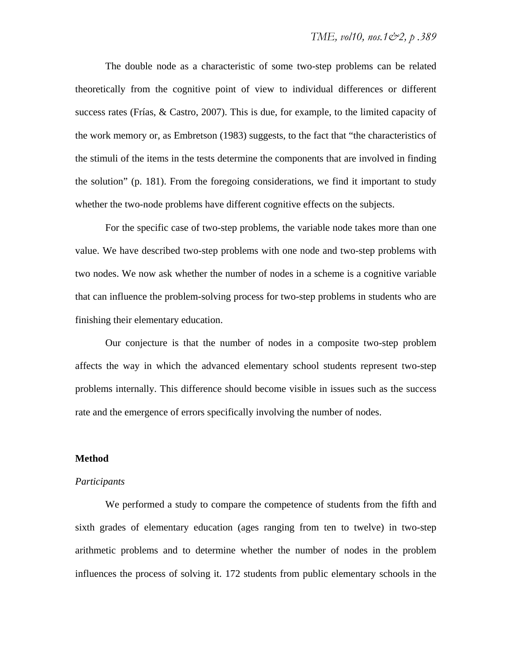The double node as a characteristic of some two-step problems can be related theoretically from the cognitive point of view to individual differences or different success rates (Frías, & Castro, 2007). This is due, for example, to the limited capacity of the work memory or, as Embretson (1983) suggests, to the fact that "the characteristics of the stimuli of the items in the tests determine the components that are involved in finding the solution" (p. 181). From the foregoing considerations, we find it important to study whether the two-node problems have different cognitive effects on the subjects.

For the specific case of two-step problems, the variable node takes more than one value. We have described two-step problems with one node and two-step problems with two nodes. We now ask whether the number of nodes in a scheme is a cognitive variable that can influence the problem-solving process for two-step problems in students who are finishing their elementary education.

Our conjecture is that the number of nodes in a composite two-step problem affects the way in which the advanced elementary school students represent two-step problems internally. This difference should become visible in issues such as the success rate and the emergence of errors specifically involving the number of nodes.

#### **Method**

#### *Participants*

We performed a study to compare the competence of students from the fifth and sixth grades of elementary education (ages ranging from ten to twelve) in two-step arithmetic problems and to determine whether the number of nodes in the problem influences the process of solving it. 172 students from public elementary schools in the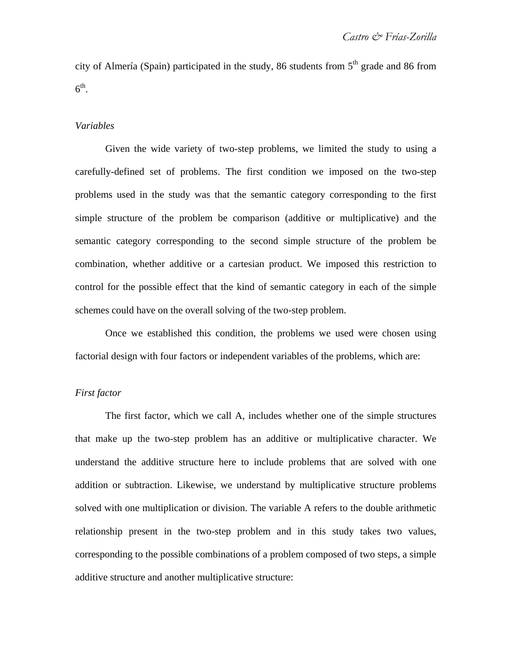city of Almería (Spain) participated in the study, 86 students from  $5<sup>th</sup>$  grade and 86 from  $6^{\text{th}}$ .

#### *Variables*

Given the wide variety of two-step problems, we limited the study to using a carefully-defined set of problems. The first condition we imposed on the two-step problems used in the study was that the semantic category corresponding to the first simple structure of the problem be comparison (additive or multiplicative) and the semantic category corresponding to the second simple structure of the problem be combination, whether additive or a cartesian product. We imposed this restriction to control for the possible effect that the kind of semantic category in each of the simple schemes could have on the overall solving of the two-step problem.

Once we established this condition, the problems we used were chosen using factorial design with four factors or independent variables of the problems, which are:

#### *First factor*

The first factor, which we call A, includes whether one of the simple structures that make up the two-step problem has an additive or multiplicative character. We understand the additive structure here to include problems that are solved with one addition or subtraction. Likewise, we understand by multiplicative structure problems solved with one multiplication or division. The variable A refers to the double arithmetic relationship present in the two-step problem and in this study takes two values, corresponding to the possible combinations of a problem composed of two steps, a simple additive structure and another multiplicative structure: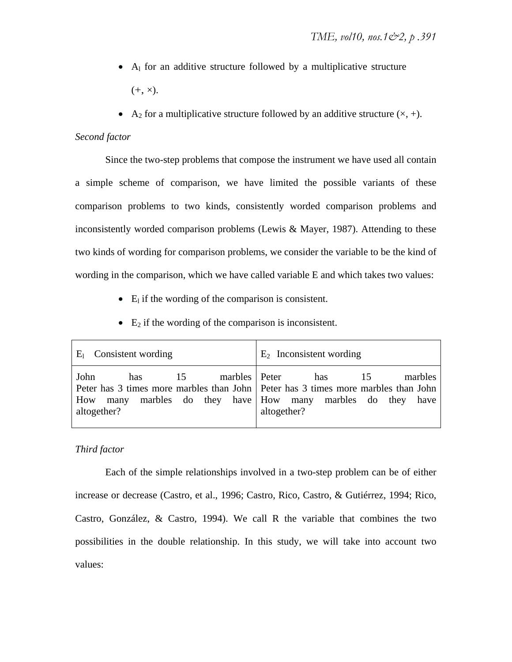- $\bullet$  A<sub>l</sub> for an additive structure followed by a multiplicative structure  $(+, \times).$
- A<sub>2</sub> for a multiplicative structure followed by an additive structure  $(x, +)$ .

## *Second factor*

Since the two-step problems that compose the instrument we have used all contain a simple scheme of comparison, we have limited the possible variants of these comparison problems to two kinds, consistently worded comparison problems and inconsistently worded comparison problems (Lewis & Mayer, 1987). Attending to these two kinds of wording for comparison problems, we consider the variable to be the kind of wording in the comparison, which we have called variable E and which takes two values:

- $\bullet$  E<sub>l</sub> if the wording of the comparison is consistent.
- $\bullet$  E<sub>2</sub> if the wording of the comparison is inconsistent.

| $E_1$ Consistent wording                                         | $E_2$ Inconsistent wording                                                                                                                                                        |  |  |  |  |
|------------------------------------------------------------------|-----------------------------------------------------------------------------------------------------------------------------------------------------------------------------------|--|--|--|--|
| marbles Peter<br>15<br>John<br>has<br>many<br>How<br>altogether? | marbles<br>has<br>-15<br>Peter has 3 times more marbles than John   Peter has 3 times more marbles than John<br>marbles do they have How many marbles do they have<br>altogether? |  |  |  |  |

# *Third factor*

Each of the simple relationships involved in a two-step problem can be of either increase or decrease (Castro, et al., 1996; Castro, Rico, Castro, & Gutiérrez, 1994; Rico, Castro, González, & Castro, 1994). We call R the variable that combines the two possibilities in the double relationship. In this study, we will take into account two values: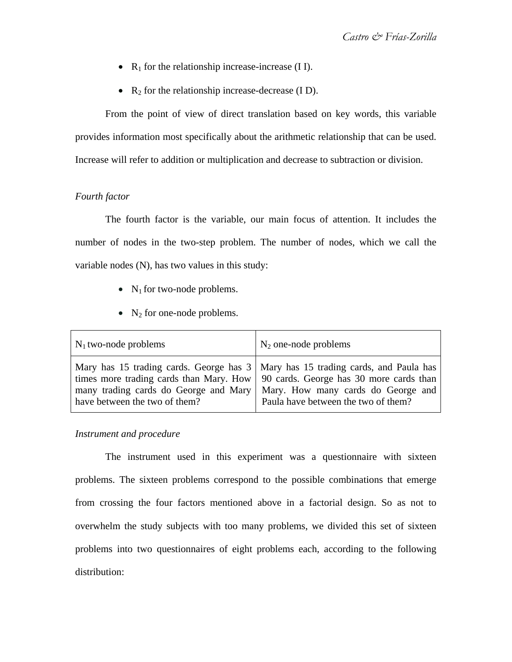- $R_1$  for the relationship increase-increase (I I).
- $R_2$  for the relationship increase-decrease (I D).

From the point of view of direct translation based on key words, this variable provides information most specifically about the arithmetic relationship that can be used. Increase will refer to addition or multiplication and decrease to subtraction or division.

## *Fourth factor*

The fourth factor is the variable, our main focus of attention. It includes the number of nodes in the two-step problem. The number of nodes, which we call the variable nodes (N), has two values in this study:

- $N_1$  for two-node problems.
- $N_2$  for one-node problems.

| $N_1$ two-node problems                                                                                                                                                                                                                           | $N_2$ one-node problems                                                   |
|---------------------------------------------------------------------------------------------------------------------------------------------------------------------------------------------------------------------------------------------------|---------------------------------------------------------------------------|
| Mary has 15 trading cards. George has 3   Mary has 15 trading cards, and Paula has<br>times more trading cards than Mary. How   90 cards. George has 30 more cards than<br>many trading cards do George and Mary<br>have between the two of them? | Mary. How many cards do George and<br>Paula have between the two of them? |

## *Instrument and procedure*

The instrument used in this experiment was a questionnaire with sixteen problems. The sixteen problems correspond to the possible combinations that emerge from crossing the four factors mentioned above in a factorial design. So as not to overwhelm the study subjects with too many problems, we divided this set of sixteen problems into two questionnaires of eight problems each, according to the following distribution: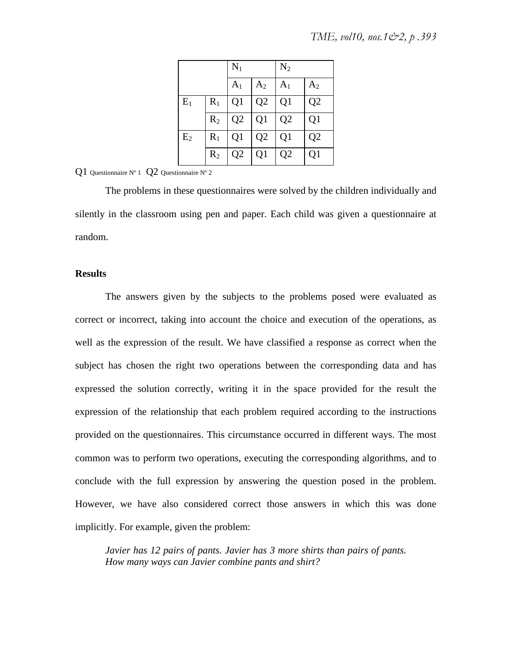|                |       | $N_1$          |                | $N_2$          |                |  |
|----------------|-------|----------------|----------------|----------------|----------------|--|
|                |       | A <sub>1</sub> | A <sub>2</sub> | $A_1$          | A <sub>2</sub> |  |
| $E_1$          | $R_1$ | Q1             | Q <sub>2</sub> | Q <sub>1</sub> | Q <sub>2</sub> |  |
|                | $R_2$ | Q <sub>2</sub> | Q <sub>1</sub> | Q <sub>2</sub> | Q1             |  |
| E <sub>2</sub> | $R_1$ | Q1             | Q <sub>2</sub> | Q <sub>1</sub> | Q <sub>2</sub> |  |
|                | $R_2$ | Q <sub>2</sub> | Q <sub>1</sub> | Q <sub>2</sub> | Q1             |  |

## Q1 Questionnaire Nº 1 Q2 Questionnaire Nº 2

The problems in these questionnaires were solved by the children individually and silently in the classroom using pen and paper. Each child was given a questionnaire at random.

#### **Results**

The answers given by the subjects to the problems posed were evaluated as correct or incorrect, taking into account the choice and execution of the operations, as well as the expression of the result. We have classified a response as correct when the subject has chosen the right two operations between the corresponding data and has expressed the solution correctly, writing it in the space provided for the result the expression of the relationship that each problem required according to the instructions provided on the questionnaires. This circumstance occurred in different ways. The most common was to perform two operations, executing the corresponding algorithms, and to conclude with the full expression by answering the question posed in the problem. However, we have also considered correct those answers in which this was done implicitly. For example, given the problem:

*Javier has 12 pairs of pants. Javier has 3 more shirts than pairs of pants. How many ways can Javier combine pants and shirt?*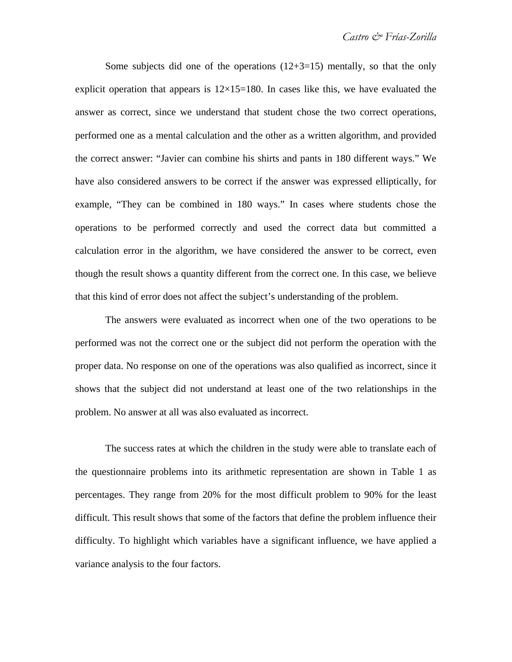Some subjects did one of the operations  $(12+3=15)$  mentally, so that the only explicit operation that appears is  $12\times15=180$ . In cases like this, we have evaluated the answer as correct, since we understand that student chose the two correct operations, performed one as a mental calculation and the other as a written algorithm, and provided the correct answer: "Javier can combine his shirts and pants in 180 different ways." We have also considered answers to be correct if the answer was expressed elliptically, for example, "They can be combined in 180 ways." In cases where students chose the operations to be performed correctly and used the correct data but committed a calculation error in the algorithm, we have considered the answer to be correct, even though the result shows a quantity different from the correct one. In this case, we believe that this kind of error does not affect the subject's understanding of the problem.

The answers were evaluated as incorrect when one of the two operations to be performed was not the correct one or the subject did not perform the operation with the proper data. No response on one of the operations was also qualified as incorrect, since it shows that the subject did not understand at least one of the two relationships in the problem. No answer at all was also evaluated as incorrect.

The success rates at which the children in the study were able to translate each of the questionnaire problems into its arithmetic representation are shown in Table 1 as percentages. They range from 20% for the most difficult problem to 90% for the least difficult. This result shows that some of the factors that define the problem influence their difficulty. To highlight which variables have a significant influence, we have applied a variance analysis to the four factors.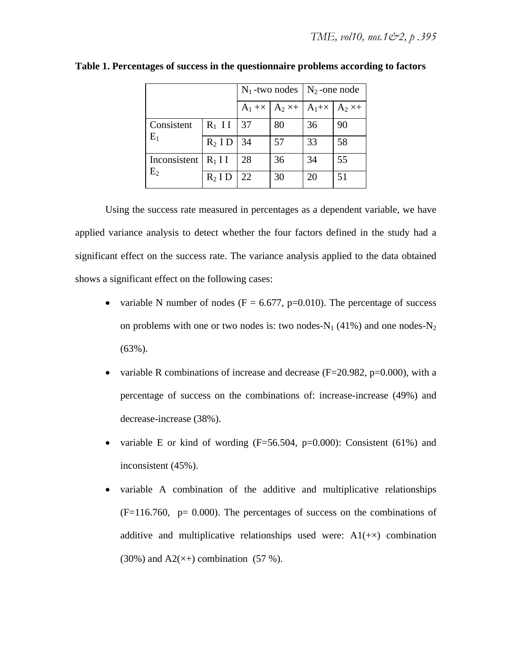|                |           | $N_1$ -two nodes   $N_2$ -one node       |    |                |    |
|----------------|-----------|------------------------------------------|----|----------------|----|
|                |           | $A_1 + \times  A_2 \times  A_1 + \times$ |    | $A_2 \times +$ |    |
| Consistent     | $R_1$ II  | 37                                       | 80 | 36             | 90 |
| $E_1$          | $R_2$ ID  | 34                                       | 57 | 33             | 58 |
| Inconsistent   | $R_1$ I I | 28                                       | 36 | 34             | 55 |
| E <sub>2</sub> | $R_2$ I D | 22                                       | 30 | 20             | 51 |

**Table 1. Percentages of success in the questionnaire problems according to factors** 

Using the success rate measured in percentages as a dependent variable, we have applied variance analysis to detect whether the four factors defined in the study had a significant effect on the success rate. The variance analysis applied to the data obtained shows a significant effect on the following cases:

- variable N number of nodes ( $F = 6.677$ , p=0.010). The percentage of success on problems with one or two nodes is: two nodes- $N_1$  (41%) and one nodes- $N_2$ (63%).
- variable R combinations of increase and decrease ( $F=20.982$ ,  $p=0.000$ ), with a percentage of success on the combinations of: increase-increase (49%) and decrease-increase (38%).
- variable E or kind of wording  $(F=56.504, p=0.000)$ : Consistent  $(61\%)$  and inconsistent (45%).
- variable A combination of the additive and multiplicative relationships  $(F=116.760, p= 0.000)$ . The percentages of success on the combinations of additive and multiplicative relationships used were:  $A1(+x)$  combination (30%) and  $A2(x+)$  combination (57 %).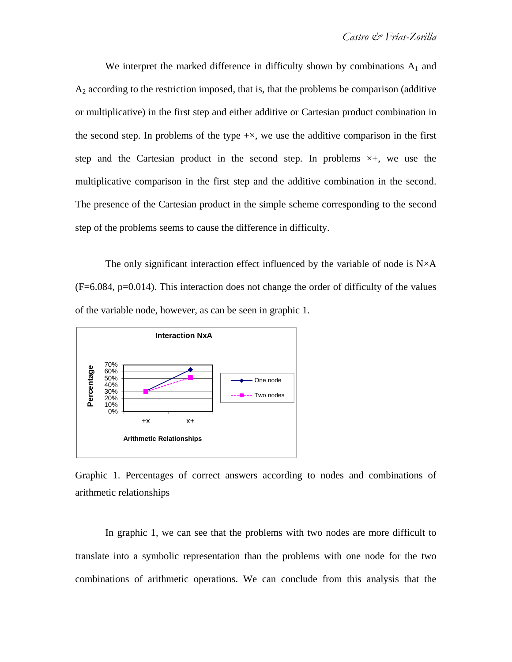We interpret the marked difference in difficulty shown by combinations  $A_1$  and  $A_2$  according to the restriction imposed, that is, that the problems be comparison (additive or multiplicative) in the first step and either additive or Cartesian product combination in the second step. In problems of the type  $+x$ , we use the additive comparison in the first step and the Cartesian product in the second step. In problems  $\times +$ , we use the multiplicative comparison in the first step and the additive combination in the second. The presence of the Cartesian product in the simple scheme corresponding to the second step of the problems seems to cause the difference in difficulty.

The only significant interaction effect influenced by the variable of node is  $N \times A$ (F=6.084, p=0.014). This interaction does not change the order of difficulty of the values of the variable node, however, as can be seen in graphic 1.



Graphic 1. Percentages of correct answers according to nodes and combinations of arithmetic relationships

In graphic 1, we can see that the problems with two nodes are more difficult to translate into a symbolic representation than the problems with one node for the two combinations of arithmetic operations. We can conclude from this analysis that the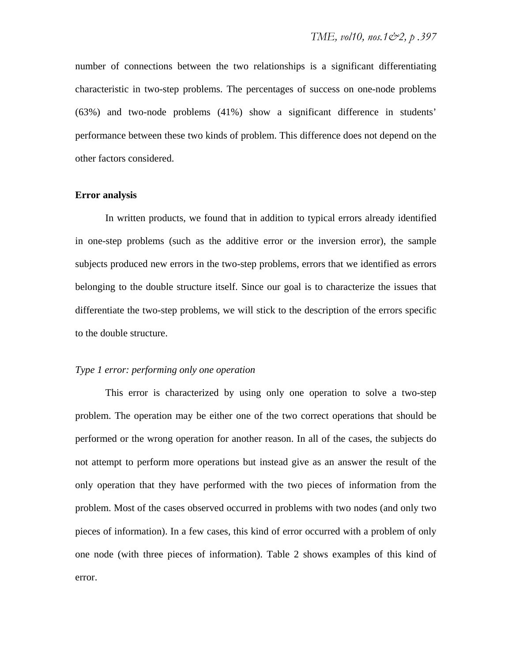number of connections between the two relationships is a significant differentiating characteristic in two-step problems. The percentages of success on one-node problems (63%) and two-node problems (41%) show a significant difference in students' performance between these two kinds of problem. This difference does not depend on the other factors considered.

## **Error analysis**

In written products, we found that in addition to typical errors already identified in one-step problems (such as the additive error or the inversion error), the sample subjects produced new errors in the two-step problems, errors that we identified as errors belonging to the double structure itself. Since our goal is to characterize the issues that differentiate the two-step problems, we will stick to the description of the errors specific to the double structure.

#### *Type 1 error: performing only one operation*

This error is characterized by using only one operation to solve a two-step problem. The operation may be either one of the two correct operations that should be performed or the wrong operation for another reason. In all of the cases, the subjects do not attempt to perform more operations but instead give as an answer the result of the only operation that they have performed with the two pieces of information from the problem. Most of the cases observed occurred in problems with two nodes (and only two pieces of information). In a few cases, this kind of error occurred with a problem of only one node (with three pieces of information). Table 2 shows examples of this kind of error.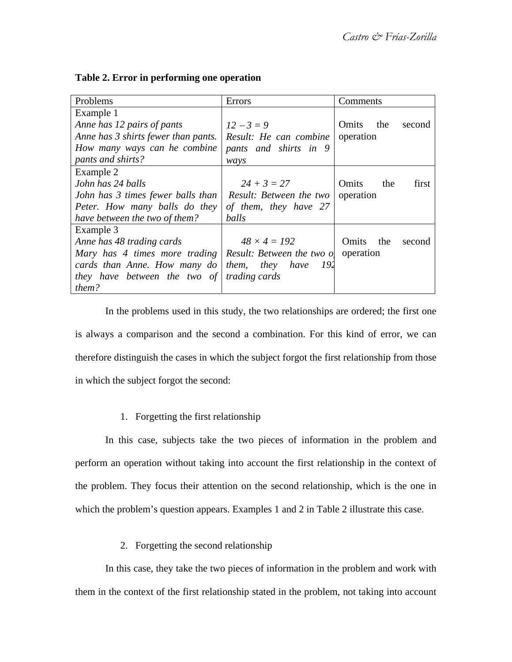| Problems                                                           | Errors                     | Comments                     |
|--------------------------------------------------------------------|----------------------------|------------------------------|
| Example 1                                                          |                            |                              |
| Anne has 12 pairs of pants                                         | $12 - 3 = 9$               | Omits<br>the<br>second       |
| Anne has 3 shirts fewer than pants.                                | Result: He can combine     | operation                    |
| How many ways can he combine                                       | pants and shirts in 9      |                              |
| pants and shirts?                                                  | ways                       |                              |
| Example 2                                                          |                            |                              |
| John has 24 balls                                                  | $24 + 3 = 27$              | <b>Omits</b><br>the<br>first |
| John has 3 times fewer balls than                                  | Result: Between the two    | operation                    |
| Peter. How many balls do they                                      | of them, they have 27      |                              |
| have between the two of them?                                      | balls                      |                              |
| Example 3                                                          |                            |                              |
| Anne has 48 trading cards                                          | $48 \times 4 = 192$        | Omits<br>the<br>second       |
| Mary has 4 times more trading Result: Between the two of operation |                            |                              |
| cards than Anne. How many $d\sigma$                                | <i>them, they have</i> 192 |                              |
| they have between the two of                                       | <i>trading cards</i>       |                              |
| them?                                                              |                            |                              |

## **Table 2. Error in performing one operation**

In the problems used in this study, the two relationships are ordered; the first one is always a comparison and the second a combination. For this kind of error, we can therefore distinguish the cases in which the subject forgot the first relationship from those in which the subject forgot the second:

# 1. Forgetting the first relationship

In this case, subjects take the two pieces of information in the problem and perform an operation without taking into account the first relationship in the context of the problem. They focus their attention on the second relationship, which is the one in which the problem's question appears. Examples 1 and 2 in Table 2 illustrate this case.

# 2. Forgetting the second relationship

In this case, they take the two pieces of information in the problem and work with them in the context of the first relationship stated in the problem, not taking into account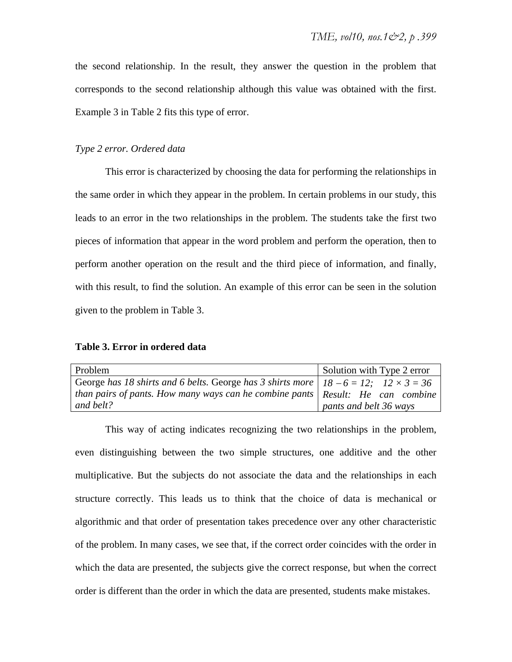the second relationship. In the result, they answer the question in the problem that corresponds to the second relationship although this value was obtained with the first. Example 3 in Table 2 fits this type of error.

## *Type 2 error. Ordered data*

This error is characterized by choosing the data for performing the relationships in the same order in which they appear in the problem. In certain problems in our study, this leads to an error in the two relationships in the problem. The students take the first two pieces of information that appear in the word problem and perform the operation, then to perform another operation on the result and the third piece of information, and finally, with this result, to find the solution. An example of this error can be seen in the solution given to the problem in Table 3.

### **Table 3. Error in ordered data**

| Problem                                                                                         | Solution with Type 2 error |
|-------------------------------------------------------------------------------------------------|----------------------------|
| George has 18 shirts and 6 belts. George has 3 shirts more $  18 - 6 = 12$ ; $12 \times 3 = 36$ |                            |
| than pairs of pants. How many ways can he combine pants $\vert$ Result: He can combine          |                            |
| and belt?                                                                                       | pants and belt 36 ways     |

This way of acting indicates recognizing the two relationships in the problem, even distinguishing between the two simple structures, one additive and the other multiplicative. But the subjects do not associate the data and the relationships in each structure correctly. This leads us to think that the choice of data is mechanical or algorithmic and that order of presentation takes precedence over any other characteristic of the problem. In many cases, we see that, if the correct order coincides with the order in which the data are presented, the subjects give the correct response, but when the correct order is different than the order in which the data are presented, students make mistakes.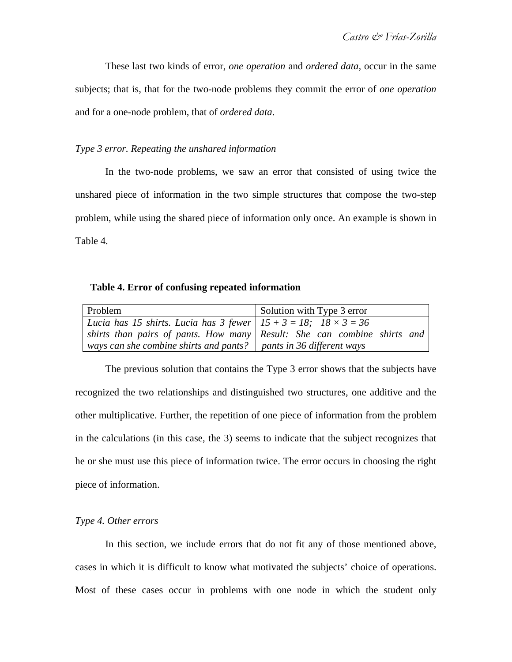These last two kinds of error, *one operation* and *ordered data,* occur in the same subjects; that is, that for the two-node problems they commit the error of *one operation*  and for a one-node problem, that of *ordered data*.

#### *Type 3 error. Repeating the unshared information*

In the two-node problems, we saw an error that consisted of using twice the unshared piece of information in the two simple structures that compose the two-step problem, while using the shared piece of information only once. An example is shown in Table 4.

#### **Table 4. Error of confusing repeated information**

| Problem                                                                   | Solution with Type 3 error |
|---------------------------------------------------------------------------|----------------------------|
| Lucia has 15 shirts. Lucia has 3 fewer $15 + 3 = 18$ ; $18 \times 3 = 36$ |                            |
| shirts than pairs of pants. How many Result: She can combine shirts and   |                            |
| ways can she combine shirts and pants? $\vert$ pants in 36 different ways |                            |

The previous solution that contains the Type 3 error shows that the subjects have recognized the two relationships and distinguished two structures, one additive and the other multiplicative. Further, the repetition of one piece of information from the problem in the calculations (in this case, the 3) seems to indicate that the subject recognizes that he or she must use this piece of information twice. The error occurs in choosing the right piece of information.

## *Type 4. Other errors*

In this section, we include errors that do not fit any of those mentioned above, cases in which it is difficult to know what motivated the subjects' choice of operations. Most of these cases occur in problems with one node in which the student only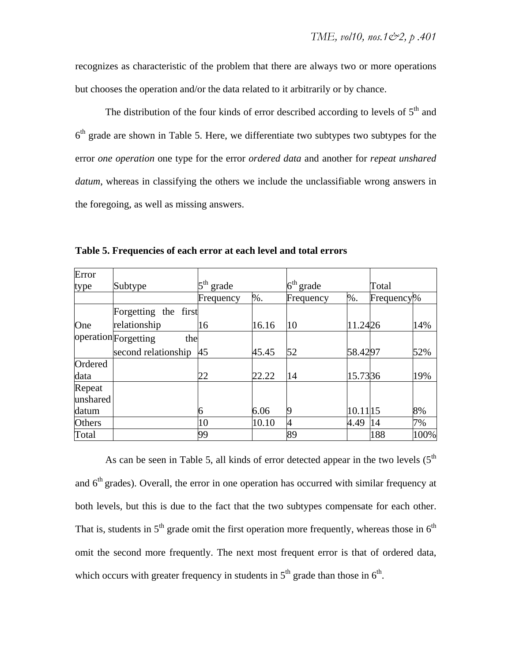recognizes as characteristic of the problem that there are always two or more operations but chooses the operation and/or the data related to it arbitrarily or by chance.

The distribution of the four kinds of error described according to levels of  $5<sup>th</sup>$  and  $6<sup>th</sup>$  grade are shown in Table 5. Here, we differentiate two subtypes two subtypes for the error *one operation* one type for the error *ordered data* and another for *repeat unshared datum*, whereas in classifying the others we include the unclassifiable wrong answers in the foregoing, as well as missing answers.

| Error         |                             |                          |       |             |          |            |      |
|---------------|-----------------------------|--------------------------|-------|-------------|----------|------------|------|
| type          | Subtype                     | $5^{\text{th}}$<br>grade |       | $6th$ grade |          | Total      |      |
|               |                             | Frequency                | %.    | Frequency   | $%$ .    | Frequency% |      |
|               | Forgetting the first        |                          |       |             |          |            |      |
| One           | relationship                | 16                       | 16.16 | 10          | 11.2426  |            | 14%  |
|               | operation Forgetting<br>the |                          |       |             |          |            |      |
|               | second relationship         | 45                       | 45.45 | 52          | 58.4297  |            | 52%  |
| Ordered       |                             |                          |       |             |          |            |      |
| data          |                             | 22                       | 22.22 | 14          | 15.7336  |            | 19%  |
| Repeat        |                             |                          |       |             |          |            |      |
| unshared      |                             |                          |       |             |          |            |      |
| datum         |                             | 6                        | 6.06  | 9           | 10.11 15 |            | 8%   |
| <b>Others</b> |                             | 10                       | 10.10 | 4           | 4.49     | 14         | 7%   |
| Total         |                             | 99                       |       | 89          |          | 188        | 100% |

**Table 5. Frequencies of each error at each level and total errors** 

As can be seen in Table 5, all kinds of error detected appear in the two levels  $(5<sup>th</sup>$ and  $6<sup>th</sup>$  grades). Overall, the error in one operation has occurred with similar frequency at both levels, but this is due to the fact that the two subtypes compensate for each other. That is, students in  $5<sup>th</sup>$  grade omit the first operation more frequently, whereas those in  $6<sup>th</sup>$ omit the second more frequently. The next most frequent error is that of ordered data, which occurs with greater frequency in students in  $5<sup>th</sup>$  grade than those in  $6<sup>th</sup>$ .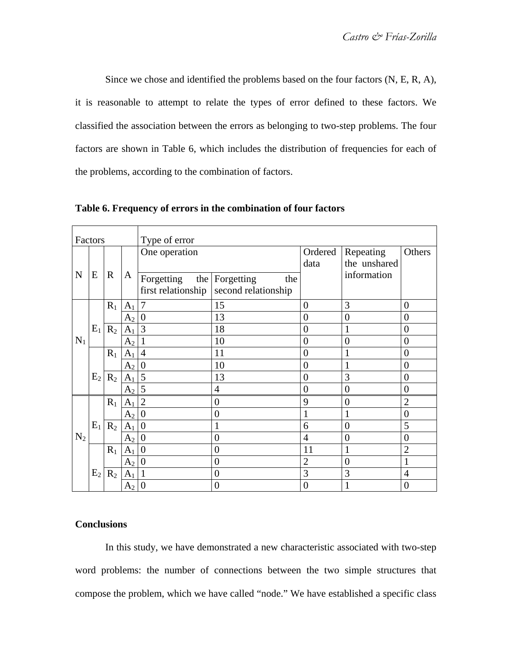Since we chose and identified the problems based on the four factors (N, E, R, A), it is reasonable to attempt to relate the types of error defined to these factors. We classified the association between the errors as belonging to two-step problems. The four factors are shown in Table 6, which includes the distribution of frequencies for each of the problems, according to the combination of factors.

| Type of error<br>Factors |                |              |                |                                          |                                              |                 |                           |                |
|--------------------------|----------------|--------------|----------------|------------------------------------------|----------------------------------------------|-----------------|---------------------------|----------------|
|                          |                |              |                | One operation                            |                                              | Ordered<br>data | Repeating<br>the unshared | Others         |
| $\mathbf N$              | E              | $\mathbb{R}$ | A              | Forgetting<br>first relationship $\vert$ | the Forgetting<br>the<br>second relationship |                 | information               |                |
|                          |                | $R_1$        | $A_1$          | $\overline{7}$                           | 15                                           | $\overline{0}$  | 3                         | $\overline{0}$ |
|                          |                |              | A <sub>2</sub> | $\overline{0}$                           | 13                                           | $\overline{0}$  | $\overline{0}$            | $\overline{0}$ |
|                          | $E_1$          | $R_2$        | A <sub>1</sub> | 3                                        | 18                                           | $\overline{0}$  | $\mathbf{1}$              | $\overline{0}$ |
| $N_1$                    |                |              | A <sub>2</sub> |                                          | 10                                           | $\overline{0}$  | $\overline{0}$            | $\overline{0}$ |
|                          |                | $R_1$        | A <sub>1</sub> | $\overline{4}$                           | 11                                           | $\overline{0}$  | $\mathbf{1}$              | $\overline{0}$ |
|                          |                |              | A <sub>2</sub> | $\theta$                                 | 10                                           | $\overline{0}$  | $\mathbf{1}$              | $\overline{0}$ |
|                          | E <sub>2</sub> | $R_2$        | A <sub>1</sub> | 5                                        | 13                                           | $\overline{0}$  | 3                         | $\overline{0}$ |
|                          |                |              | A <sub>2</sub> | 5                                        | $\overline{4}$                               | $\overline{0}$  | $\overline{0}$            | $\overline{0}$ |
|                          |                | $R_1$        | $A_1$          | $\overline{2}$                           | $\overline{0}$                               | 9               | $\boldsymbol{0}$          | $\overline{2}$ |
|                          |                |              | A <sub>2</sub> | $\theta$                                 | $\theta$                                     | 1               | $\mathbf{1}$              | $\overline{0}$ |
|                          | $E_1$          | $R_2$        | A <sub>1</sub> | $\overline{0}$                           | 1                                            | 6               | $\overline{0}$            | 5              |
| $N_2$                    |                |              | A <sub>2</sub> | $\overline{0}$                           | $\overline{0}$                               | $\overline{4}$  | $\overline{0}$            | $\overline{0}$ |
|                          |                | $R_1$        | $A_1$          | $\overline{0}$                           | $\overline{0}$                               | 11              | $\mathbf{1}$              | $\overline{2}$ |
|                          |                |              | A <sub>2</sub> | $\overline{0}$                           | $\overline{0}$                               | $\overline{2}$  | $\overline{0}$            | 1              |
|                          | $E_2$          | $R_2$        | $A_1$          | $\mathbf{1}$                             | $\overline{0}$                               | 3               | 3                         | $\overline{4}$ |
|                          |                |              | A <sub>2</sub> | $\boldsymbol{0}$                         | $\theta$                                     | $\overline{0}$  | $\mathbf{1}$              | $\theta$       |

**Table 6. Frequency of errors in the combination of four factors** 

## **Conclusions**

In this study, we have demonstrated a new characteristic associated with two-step word problems: the number of connections between the two simple structures that compose the problem, which we have called "node." We have established a specific class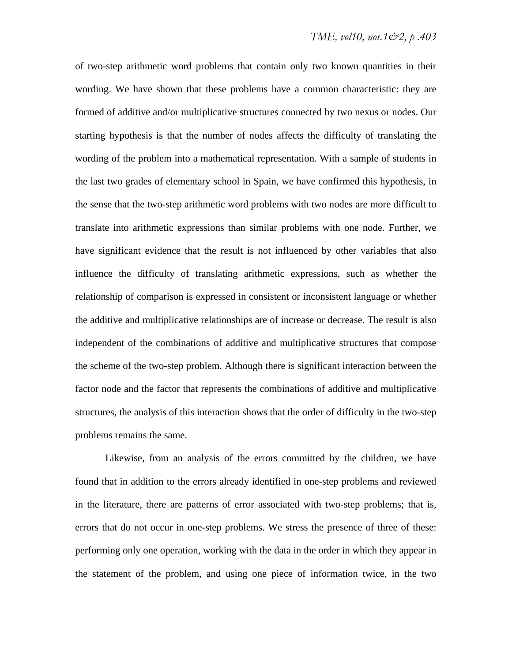of two-step arithmetic word problems that contain only two known quantities in their wording. We have shown that these problems have a common characteristic: they are formed of additive and/or multiplicative structures connected by two nexus or nodes. Our starting hypothesis is that the number of nodes affects the difficulty of translating the wording of the problem into a mathematical representation. With a sample of students in the last two grades of elementary school in Spain, we have confirmed this hypothesis, in the sense that the two-step arithmetic word problems with two nodes are more difficult to translate into arithmetic expressions than similar problems with one node. Further, we have significant evidence that the result is not influenced by other variables that also influence the difficulty of translating arithmetic expressions, such as whether the relationship of comparison is expressed in consistent or inconsistent language or whether the additive and multiplicative relationships are of increase or decrease. The result is also independent of the combinations of additive and multiplicative structures that compose the scheme of the two-step problem. Although there is significant interaction between the factor node and the factor that represents the combinations of additive and multiplicative structures, the analysis of this interaction shows that the order of difficulty in the two-step problems remains the same.

Likewise, from an analysis of the errors committed by the children, we have found that in addition to the errors already identified in one-step problems and reviewed in the literature, there are patterns of error associated with two-step problems; that is, errors that do not occur in one-step problems. We stress the presence of three of these: performing only one operation, working with the data in the order in which they appear in the statement of the problem, and using one piece of information twice, in the two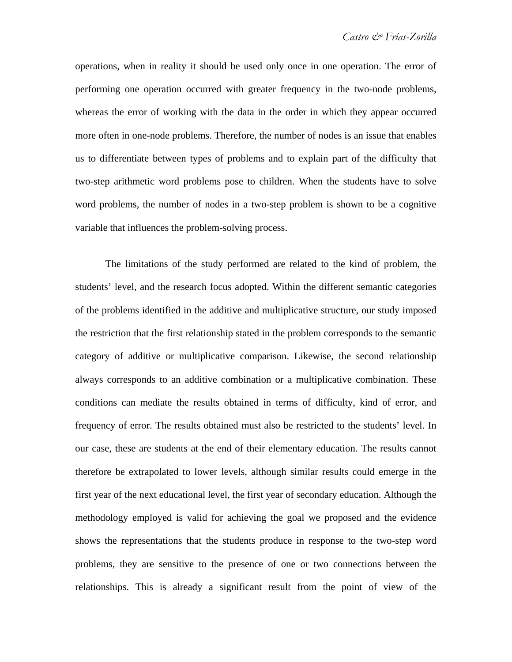operations, when in reality it should be used only once in one operation. The error of performing one operation occurred with greater frequency in the two-node problems, whereas the error of working with the data in the order in which they appear occurred more often in one-node problems. Therefore, the number of nodes is an issue that enables us to differentiate between types of problems and to explain part of the difficulty that two-step arithmetic word problems pose to children. When the students have to solve word problems, the number of nodes in a two-step problem is shown to be a cognitive variable that influences the problem-solving process.

The limitations of the study performed are related to the kind of problem, the students' level, and the research focus adopted. Within the different semantic categories of the problems identified in the additive and multiplicative structure, our study imposed the restriction that the first relationship stated in the problem corresponds to the semantic category of additive or multiplicative comparison. Likewise, the second relationship always corresponds to an additive combination or a multiplicative combination. These conditions can mediate the results obtained in terms of difficulty, kind of error, and frequency of error. The results obtained must also be restricted to the students' level. In our case, these are students at the end of their elementary education. The results cannot therefore be extrapolated to lower levels, although similar results could emerge in the first year of the next educational level, the first year of secondary education. Although the methodology employed is valid for achieving the goal we proposed and the evidence shows the representations that the students produce in response to the two-step word problems, they are sensitive to the presence of one or two connections between the relationships. This is already a significant result from the point of view of the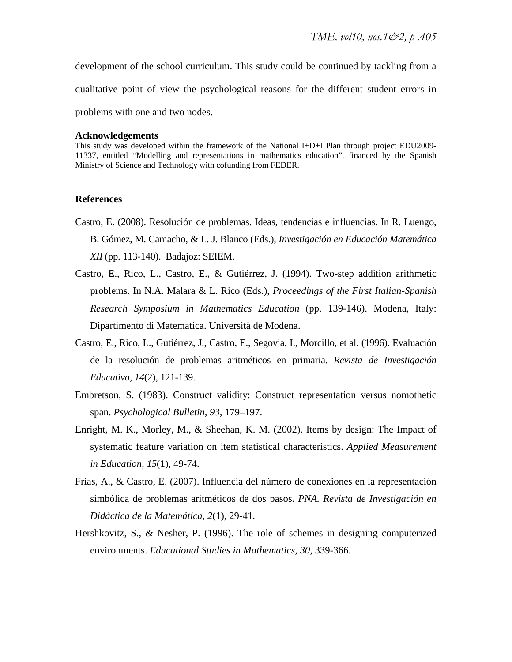development of the school curriculum. This study could be continued by tackling from a qualitative point of view the psychological reasons for the different student errors in problems with one and two nodes.

#### **Acknowledgements**

This study was developed within the framework of the National I+D+I Plan through project EDU2009- 11337, entitled "Modelling and representations in mathematics education", financed by the Spanish Ministry of Science and Technology with cofunding from FEDER.

#### **References**

- Castro, E. (2008). Resolución de problemas. Ideas, tendencias e influencias. In R. Luengo, B. Gómez, M. Camacho, & L. J. Blanco (Eds.), *Investigación en Educación Matemática XII* (pp. 113-140). Badajoz: SEIEM.
- Castro, E., Rico, L., Castro, E., & Gutiérrez, J. (1994). Two-step addition arithmetic problems. In N.A. Malara & L. Rico (Eds.), *Proceedings of the First Italian-Spanish Research Symposium in Mathematics Education* (pp. 139-146). Modena, Italy: Dipartimento di Matematica. Università de Modena.
- Castro, E., Rico, L., Gutiérrez, J., Castro, E., Segovia, I., Morcillo, et al. (1996). Evaluación de la resolución de problemas aritméticos en primaria. *Revista de Investigación Educativa, 14*(2), 121-139.
- Embretson, S. (1983). Construct validity: Construct representation versus nomothetic span. *Psychological Bulletin, 93,* 179–197.
- Enright, M. K., Morley, M., & Sheehan, K. M. (2002). Items by design: The Impact of systematic feature variation on item statistical characteristics. *Applied Measurement in Education, 15*(1), 49-74.
- Frías, A., & Castro, E. (2007). Influencia del número de conexiones en la representación simbólica de problemas aritméticos de dos pasos. *PNA. Revista de Investigación en Didáctica de la Matemática, 2*(1), 29-41.
- Hershkovitz, S., & Nesher, P. (1996). The role of schemes in designing computerized environments. *Educational Studies in Mathematics, 30*, 339-366.